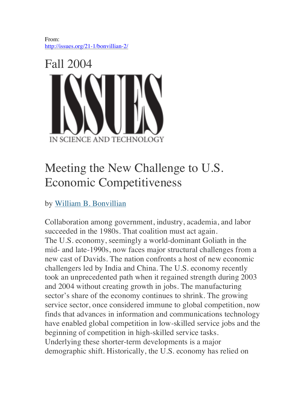From: http://issues.org/21-1/bonvillian-2/



# Meeting the New Challenge to U.S. Economic Competitiveness

by William B. Bonvillian

Collaboration among government, industry, academia, and labor succeeded in the 1980s. That coalition must act again. The U.S. economy, seemingly a world-dominant Goliath in the mid- and late-1990s, now faces major structural challenges from a new cast of Davids. The nation confronts a host of new economic challengers led by India and China. The U.S. economy recently took an unprecedented path when it regained strength during 2003 and 2004 without creating growth in jobs. The manufacturing sector's share of the economy continues to shrink. The growing service sector, once considered immune to global competition, now finds that advances in information and communications technology have enabled global competition in low-skilled service jobs and the beginning of competition in high-skilled service tasks. Underlying these shorter-term developments is a major demographic shift. Historically, the U.S. economy has relied on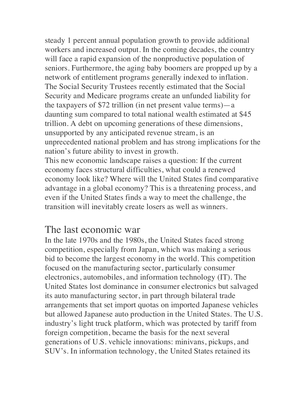steady 1 percent annual population growth to provide additional workers and increased output. In the coming decades, the country will face a rapid expansion of the nonproductive population of seniors. Furthermore, the aging baby boomers are propped up by a network of entitlement programs generally indexed to inflation. The Social Security Trustees recently estimated that the Social Security and Medicare programs create an unfunded liability for the taxpayers of \$72 trillion (in net present value terms)—a daunting sum compared to total national wealth estimated at \$45 trillion. A debt on upcoming generations of these dimensions, unsupported by any anticipated revenue stream, is an unprecedented national problem and has strong implications for the nation's future ability to invest in growth.

This new economic landscape raises a question: If the current economy faces structural difficulties, what could a renewed economy look like? Where will the United States find comparative advantage in a global economy? This is a threatening process, and even if the United States finds a way to meet the challenge, the transition will inevitably create losers as well as winners.

### The last economic war

In the late 1970s and the 1980s, the United States faced strong competition, especially from Japan, which was making a serious bid to become the largest economy in the world. This competition focused on the manufacturing sector, particularly consumer electronics, automobiles, and information technology (IT). The United States lost dominance in consumer electronics but salvaged its auto manufacturing sector, in part through bilateral trade arrangements that set import quotas on imported Japanese vehicles but allowed Japanese auto production in the United States. The U.S. industry's light truck platform, which was protected by tariff from foreign competition, became the basis for the next several generations of U.S. vehicle innovations: minivans, pickups, and SUV's. In information technology, the United States retained its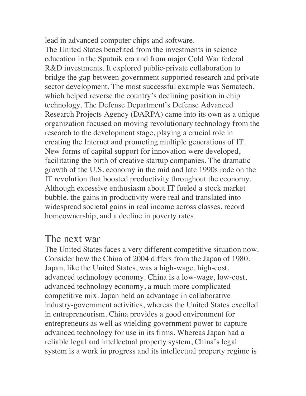lead in advanced computer chips and software.

The United States benefited from the investments in science education in the Sputnik era and from major Cold War federal R&D investments. It explored public-private collaboration to bridge the gap between government supported research and private sector development. The most successful example was Sematech, which helped reverse the country's declining position in chip technology. The Defense Department's Defense Advanced Research Projects Agency (DARPA) came into its own as a unique organization focused on moving revolutionary technology from the research to the development stage, playing a crucial role in creating the Internet and promoting multiple generations of IT. New forms of capital support for innovation were developed, facilitating the birth of creative startup companies. The dramatic growth of the U.S. economy in the mid and late 1990s rode on the IT revolution that boosted productivity throughout the economy. Although excessive enthusiasm about IT fueled a stock market bubble, the gains in productivity were real and translated into widespread societal gains in real income across classes, record homeownership, and a decline in poverty rates.

#### The next war

The United States faces a very different competitive situation now. Consider how the China of 2004 differs from the Japan of 1980. Japan, like the United States, was a high-wage, high-cost, advanced technology economy. China is a low-wage, low-cost, advanced technology economy, a much more complicated competitive mix. Japan held an advantage in collaborative industry-government activities, whereas the United States excelled in entrepreneurism. China provides a good environment for entrepreneurs as well as wielding government power to capture advanced technology for use in its firms. Whereas Japan had a reliable legal and intellectual property system, China's legal system is a work in progress and its intellectual property regime is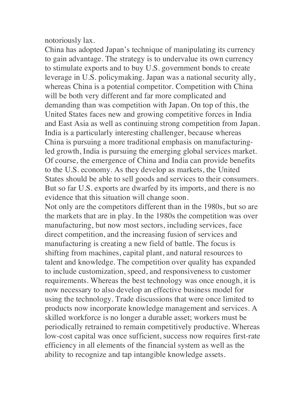notoriously lax.

China has adopted Japan's technique of manipulating its currency to gain advantage. The strategy is to undervalue its own currency to stimulate exports and to buy U.S. government bonds to create leverage in U.S. policymaking. Japan was a national security ally, whereas China is a potential competitor. Competition with China will be both very different and far more complicated and demanding than was competition with Japan. On top of this, the United States faces new and growing competitive forces in India and East Asia as well as continuing strong competition from Japan. India is a particularly interesting challenger, because whereas China is pursuing a more traditional emphasis on manufacturingled growth, India is pursuing the emerging global services market. Of course, the emergence of China and India can provide benefits to the U.S. economy. As they develop as markets, the United States should be able to sell goods and services to their consumers. But so far U.S. exports are dwarfed by its imports, and there is no evidence that this situation will change soon.

Not only are the competitors different than in the 1980s, but so are the markets that are in play. In the 1980s the competition was over manufacturing, but now most sectors, including services, face direct competition, and the increasing fusion of services and manufacturing is creating a new field of battle. The focus is shifting from machines, capital plant, and natural resources to talent and knowledge. The competition over quality has expanded to include customization, speed, and responsiveness to customer requirements. Whereas the best technology was once enough, it is now necessary to also develop an effective business model for using the technology. Trade discussions that were once limited to products now incorporate knowledge management and services. A skilled workforce is no longer a durable asset; workers must be periodically retrained to remain competitively productive. Whereas low-cost capital was once sufficient, success now requires first-rate efficiency in all elements of the financial system as well as the ability to recognize and tap intangible knowledge assets.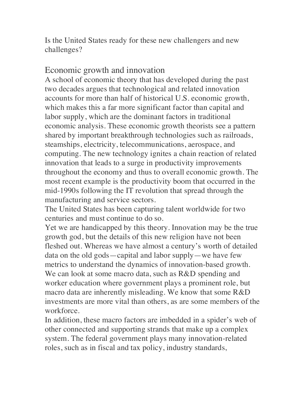Is the United States ready for these new challengers and new challenges?

#### Economic growth and innovation

A school of economic theory that has developed during the past two decades argues that technological and related innovation accounts for more than half of historical U.S. economic growth, which makes this a far more significant factor than capital and labor supply, which are the dominant factors in traditional economic analysis. These economic growth theorists see a pattern shared by important breakthrough technologies such as railroads, steamships, electricity, telecommunications, aerospace, and computing. The new technology ignites a chain reaction of related innovation that leads to a surge in productivity improvements throughout the economy and thus to overall economic growth. The most recent example is the productivity boom that occurred in the mid-1990s following the IT revolution that spread through the manufacturing and service sectors.

The United States has been capturing talent worldwide for two centuries and must continue to do so.

Yet we are handicapped by this theory. Innovation may be the true growth god, but the details of this new religion have not been fleshed out. Whereas we have almost a century's worth of detailed data on the old gods—capital and labor supply—we have few metrics to understand the dynamics of innovation-based growth. We can look at some macro data, such as R&D spending and worker education where government plays a prominent role, but macro data are inherently misleading. We know that some R&D investments are more vital than others, as are some members of the workforce.

In addition, these macro factors are imbedded in a spider's web of other connected and supporting strands that make up a complex system. The federal government plays many innovation-related roles, such as in fiscal and tax policy, industry standards,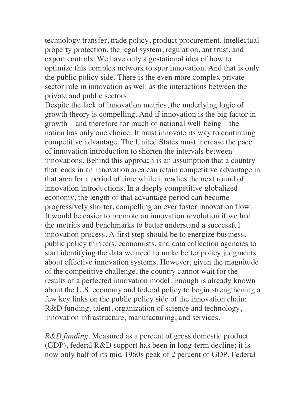technology transfer, trade policy, product procurement, intellectual property protection, the legal system, regulation, antitrust, and export controls. We have only a gestational idea of how to optimize this complex network to spur innovation. And that is only the public policy side. There is the even more complex private sector role in innovation as well as the interactions between the private and public sectors.

Despite the lack of innovation metrics, the underlying logic of growth theory is compelling. And if innovation is the big factor in growth—and therefore for much of national well-being—the nation has only one choice: It must innovate its way to continuing competitive advantage. The United States must increase the pace of innovation introduction to shorten the intervals between innovations. Behind this approach is an assumption that a country that leads in an innovation area can retain competitive advantage in that area for a period of time while it readies the next round of innovation introductions. In a deeply competitive globalized economy, the length of that advantage period can become progressively shorter, compelling an ever faster innovation flow. It would be easier to promote an innovation revolution if we had the metrics and benchmarks to better understand a successful innovation process. A first step should be to energize business, public policy thinkers, economists, and data collection agencies to start identifying the data we need to make better policy judgments about effective innovation systems. However, given the magnitude of the competitive challenge, the country cannot wait for the results of a perfected innovation model. Enough is already known about the U.S. economy and federal policy to begin strengthening a few key links on the public policy side of the innovation chain: R&D funding, talent, organization of science and technology, innovation infrastructure, manufacturing, and services.

*R&D funding*. Measured as a percent of gross domestic product (GDP), federal R&D support has been in long-term decline; it is now only half of its mid-1960s peak of 2 percent of GDP. Federal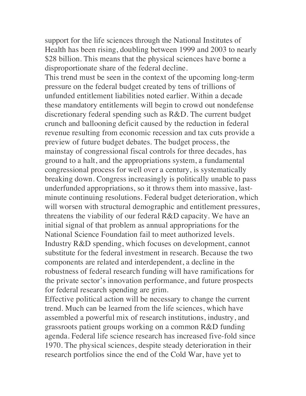support for the life sciences through the National Institutes of Health has been rising, doubling between 1999 and 2003 to nearly \$28 billion. This means that the physical sciences have borne a disproportionate share of the federal decline.

This trend must be seen in the context of the upcoming long-term pressure on the federal budget created by tens of trillions of unfunded entitlement liabilities noted earlier. Within a decade these mandatory entitlements will begin to crowd out nondefense discretionary federal spending such as R&D. The current budget crunch and ballooning deficit caused by the reduction in federal revenue resulting from economic recession and tax cuts provide a preview of future budget debates. The budget process, the mainstay of congressional fiscal controls for three decades, has ground to a halt, and the appropriations system, a fundamental congressional process for well over a century, is systematically breaking down. Congress increasingly is politically unable to pass underfunded appropriations, so it throws them into massive, lastminute continuing resolutions. Federal budget deterioration, which will worsen with structural demographic and entitlement pressures, threatens the viability of our federal R&D capacity. We have an initial signal of that problem as annual appropriations for the National Science Foundation fail to meet authorized levels. Industry R&D spending, which focuses on development, cannot substitute for the federal investment in research. Because the two components are related and interdependent, a decline in the robustness of federal research funding will have ramifications for the private sector's innovation performance, and future prospects for federal research spending are grim.

Effective political action will be necessary to change the current trend. Much can be learned from the life sciences, which have assembled a powerful mix of research institutions, industry, and grassroots patient groups working on a common R&D funding agenda. Federal life science research has increased five-fold since 1970. The physical sciences, despite steady deterioration in their research portfolios since the end of the Cold War, have yet to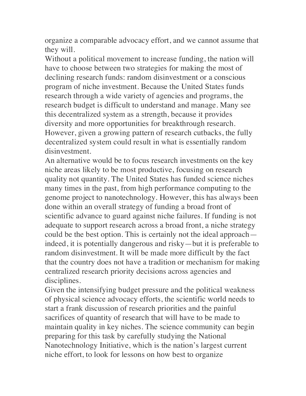organize a comparable advocacy effort, and we cannot assume that they will.

Without a political movement to increase funding, the nation will have to choose between two strategies for making the most of declining research funds: random disinvestment or a conscious program of niche investment. Because the United States funds research through a wide variety of agencies and programs, the research budget is difficult to understand and manage. Many see this decentralized system as a strength, because it provides diversity and more opportunities for breakthrough research. However, given a growing pattern of research cutbacks, the fully decentralized system could result in what is essentially random disinvestment.

An alternative would be to focus research investments on the key niche areas likely to be most productive, focusing on research quality not quantity. The United States has funded science niches many times in the past, from high performance computing to the genome project to nanotechnology. However, this has always been done within an overall strategy of funding a broad front of scientific advance to guard against niche failures. If funding is not adequate to support research across a broad front, a niche strategy could be the best option. This is certainly not the ideal approach indeed, it is potentially dangerous and risky—but it is preferable to random disinvestment. It will be made more difficult by the fact that the country does not have a tradition or mechanism for making centralized research priority decisions across agencies and disciplines.

Given the intensifying budget pressure and the political weakness of physical science advocacy efforts, the scientific world needs to start a frank discussion of research priorities and the painful sacrifices of quantity of research that will have to be made to maintain quality in key niches. The science community can begin preparing for this task by carefully studying the National Nanotechnology Initiative, which is the nation's largest current niche effort, to look for lessons on how best to organize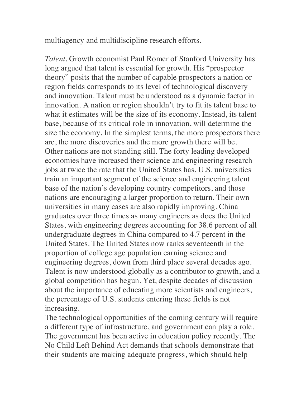multiagency and multidiscipline research efforts.

*Talent*. Growth economist Paul Romer of Stanford University has long argued that talent is essential for growth. His "prospector theory" posits that the number of capable prospectors a nation or region fields corresponds to its level of technological discovery and innovation. Talent must be understood as a dynamic factor in innovation. A nation or region shouldn't try to fit its talent base to what it estimates will be the size of its economy. Instead, its talent base, because of its critical role in innovation, will determine the size the economy. In the simplest terms, the more prospectors there are, the more discoveries and the more growth there will be. Other nations are not standing still. The forty leading developed economies have increased their science and engineering research jobs at twice the rate that the United States has. U.S. universities train an important segment of the science and engineering talent base of the nation's developing country competitors, and those nations are encouraging a larger proportion to return. Their own universities in many cases are also rapidly improving. China graduates over three times as many engineers as does the United States, with engineering degrees accounting for 38.6 percent of all undergraduate degrees in China compared to 4.7 percent in the United States. The United States now ranks seventeenth in the proportion of college age population earning science and engineering degrees, down from third place several decades ago. Talent is now understood globally as a contributor to growth, and a global competition has begun. Yet, despite decades of discussion about the importance of educating more scientists and engineers, the percentage of U.S. students entering these fields is not increasing.

The technological opportunities of the coming century will require a different type of infrastructure, and government can play a role. The government has been active in education policy recently. The No Child Left Behind Act demands that schools demonstrate that their students are making adequate progress, which should help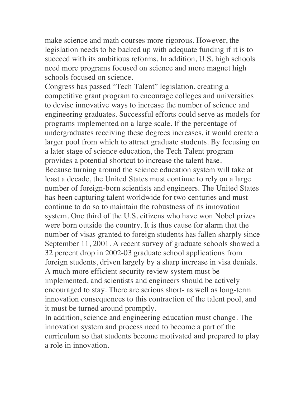make science and math courses more rigorous. However, the legislation needs to be backed up with adequate funding if it is to succeed with its ambitious reforms. In addition, U.S. high schools need more programs focused on science and more magnet high schools focused on science.

Congress has passed "Tech Talent" legislation, creating a competitive grant program to encourage colleges and universities to devise innovative ways to increase the number of science and engineering graduates. Successful efforts could serve as models for programs implemented on a large scale. If the percentage of undergraduates receiving these degrees increases, it would create a larger pool from which to attract graduate students. By focusing on a later stage of science education, the Tech Talent program provides a potential shortcut to increase the talent base. Because turning around the science education system will take at least a decade, the United States must continue to rely on a large number of foreign-born scientists and engineers. The United States has been capturing talent worldwide for two centuries and must continue to do so to maintain the robustness of its innovation system. One third of the U.S. citizens who have won Nobel prizes were born outside the country. It is thus cause for alarm that the number of visas granted to foreign students has fallen sharply since September 11, 2001. A recent survey of graduate schools showed a 32 percent drop in 2002-03 graduate school applications from foreign students, driven largely by a sharp increase in visa denials. A much more efficient security review system must be implemented, and scientists and engineers should be actively encouraged to stay. There are serious short- as well as long-term innovation consequences to this contraction of the talent pool, and it must be turned around promptly.

In addition, science and engineering education must change. The innovation system and process need to become a part of the curriculum so that students become motivated and prepared to play a role in innovation.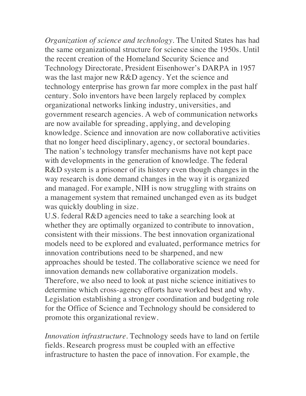*Organization of science and technology*. The United States has had the same organizational structure for science since the 1950s. Until the recent creation of the Homeland Security Science and Technology Directorate, President Eisenhower's DARPA in 1957 was the last major new R&D agency. Yet the science and technology enterprise has grown far more complex in the past half century. Solo inventors have been largely replaced by complex organizational networks linking industry, universities, and government research agencies. A web of communication networks are now available for spreading, applying, and developing knowledge. Science and innovation are now collaborative activities that no longer heed disciplinary, agency, or sectoral boundaries. The nation's technology transfer mechanisms have not kept pace with developments in the generation of knowledge. The federal R&D system is a prisoner of its history even though changes in the way research is done demand changes in the way it is organized and managed. For example, NIH is now struggling with strains on a management system that remained unchanged even as its budget was quickly doubling in size.

U.S. federal R&D agencies need to take a searching look at whether they are optimally organized to contribute to innovation, consistent with their missions. The best innovation organizational models need to be explored and evaluated, performance metrics for innovation contributions need to be sharpened, and new approaches should be tested. The collaborative science we need for innovation demands new collaborative organization models. Therefore, we also need to look at past niche science initiatives to determine which cross-agency efforts have worked best and why. Legislation establishing a stronger coordination and budgeting role for the Office of Science and Technology should be considered to promote this organizational review.

*Innovation infrastructure*. Technology seeds have to land on fertile fields. Research progress must be coupled with an effective infrastructure to hasten the pace of innovation. For example, the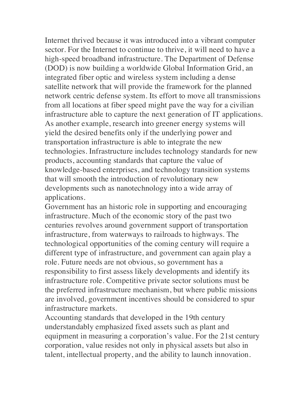Internet thrived because it was introduced into a vibrant computer sector. For the Internet to continue to thrive, it will need to have a high-speed broadband infrastructure. The Department of Defense (DOD) is now building a worldwide Global Information Grid, an integrated fiber optic and wireless system including a dense satellite network that will provide the framework for the planned network centric defense system. Its effort to move all transmissions from all locations at fiber speed might pave the way for a civilian infrastructure able to capture the next generation of IT applications. As another example, research into greener energy systems will yield the desired benefits only if the underlying power and transportation infrastructure is able to integrate the new technologies. Infrastructure includes technology standards for new products, accounting standards that capture the value of knowledge-based enterprises, and technology transition systems that will smooth the introduction of revolutionary new developments such as nanotechnology into a wide array of applications.

Government has an historic role in supporting and encouraging infrastructure. Much of the economic story of the past two centuries revolves around government support of transportation infrastructure, from waterways to railroads to highways. The technological opportunities of the coming century will require a different type of infrastructure, and government can again play a role. Future needs are not obvious, so government has a responsibility to first assess likely developments and identify its infrastructure role. Competitive private sector solutions must be the preferred infrastructure mechanism, but where public missions are involved, government incentives should be considered to spur infrastructure markets.

Accounting standards that developed in the 19th century understandably emphasized fixed assets such as plant and equipment in measuring a corporation's value. For the 21st century corporation, value resides not only in physical assets but also in talent, intellectual property, and the ability to launch innovation.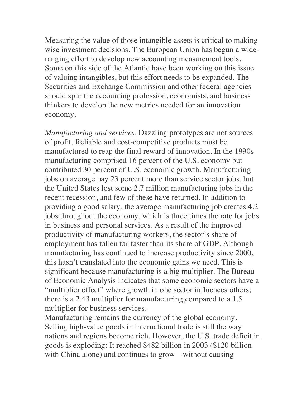Measuring the value of those intangible assets is critical to making wise investment decisions. The European Union has begun a wideranging effort to develop new accounting measurement tools. Some on this side of the Atlantic have been working on this issue of valuing intangibles, but this effort needs to be expanded. The Securities and Exchange Commission and other federal agencies should spur the accounting profession, economists, and business thinkers to develop the new metrics needed for an innovation economy.

*Manufacturing and services*. Dazzling prototypes are not sources of profit. Reliable and cost-competitive products must be manufactured to reap the final reward of innovation. In the 1990s manufacturing comprised 16 percent of the U.S. economy but contributed 30 percent of U.S. economic growth. Manufacturing jobs on average pay 23 percent more than service sector jobs, but the United States lost some 2.7 million manufacturing jobs in the recent recession, and few of these have returned. In addition to providing a good salary, the average manufacturing job creates 4.2 jobs throughout the economy, which is three times the rate for jobs in business and personal services. As a result of the improved productivity of manufacturing workers, the sector's share of employment has fallen far faster than its share of GDP. Although manufacturing has continued to increase productivity since 2000, this hasn't translated into the economic gains we need. This is significant because manufacturing is a big multiplier. The Bureau of Economic Analysis indicates that some economic sectors have a "multiplier effect" where growth in one sector influences others; there is a 2.43 multiplier for manufacturing,compared to a 1.5 multiplier for business services.

Manufacturing remains the currency of the global economy. Selling high-value goods in international trade is still the way nations and regions become rich. However, the U.S. trade deficit in goods is exploding: It reached \$482 billion in 2003 (\$120 billion with China alone) and continues to grow—without causing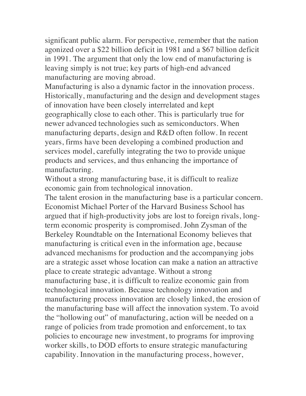significant public alarm. For perspective, remember that the nation agonized over a \$22 billion deficit in 1981 and a \$67 billion deficit in 1991. The argument that only the low end of manufacturing is leaving simply is not true; key parts of high-end advanced manufacturing are moving abroad.

Manufacturing is also a dynamic factor in the innovation process. Historically, manufacturing and the design and development stages of innovation have been closely interrelated and kept geographically close to each other. This is particularly true for newer advanced technologies such as semiconductors. When manufacturing departs, design and R&D often follow. In recent years, firms have been developing a combined production and services model, carefully integrating the two to provide unique products and services, and thus enhancing the importance of manufacturing.

Without a strong manufacturing base, it is difficult to realize economic gain from technological innovation.

The talent erosion in the manufacturing base is a particular concern. Economist Michael Porter of the Harvard Business School has argued that if high-productivity jobs are lost to foreign rivals, longterm economic prosperity is compromised. John Zysman of the Berkeley Roundtable on the International Economy believes that manufacturing is critical even in the information age, because advanced mechanisms for production and the accompanying jobs are a strategic asset whose location can make a nation an attractive place to create strategic advantage. Without a strong manufacturing base, it is difficult to realize economic gain from technological innovation. Because technology innovation and manufacturing process innovation are closely linked, the erosion of the manufacturing base will affect the innovation system. To avoid the "hollowing out" of manufacturing, action will be needed on a range of policies from trade promotion and enforcement, to tax policies to encourage new investment, to programs for improving worker skills, to DOD efforts to ensure strategic manufacturing capability. Innovation in the manufacturing process, however,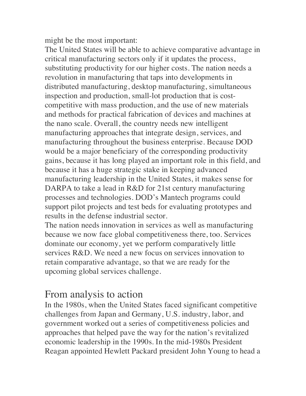might be the most important:

The United States will be able to achieve comparative advantage in critical manufacturing sectors only if it updates the process, substituting productivity for our higher costs. The nation needs a revolution in manufacturing that taps into developments in distributed manufacturing, desktop manufacturing, simultaneous inspection and production, small-lot production that is costcompetitive with mass production, and the use of new materials and methods for practical fabrication of devices and machines at the nano scale. Overall, the country needs new intelligent manufacturing approaches that integrate design, services, and manufacturing throughout the business enterprise. Because DOD would be a major beneficiary of the corresponding productivity gains, because it has long played an important role in this field, and because it has a huge strategic stake in keeping advanced manufacturing leadership in the United States, it makes sense for DARPA to take a lead in R&D for 21st century manufacturing processes and technologies. DOD's Mantech programs could support pilot projects and test beds for evaluating prototypes and results in the defense industrial sector.

The nation needs innovation in services as well as manufacturing because we now face global competitiveness there, too. Services dominate our economy, yet we perform comparatively little services R&D. We need a new focus on services innovation to retain comparative advantage, so that we are ready for the upcoming global services challenge.

## From analysis to action

In the 1980s, when the United States faced significant competitive challenges from Japan and Germany, U.S. industry, labor, and government worked out a series of competitiveness policies and approaches that helped pave the way for the nation's revitalized economic leadership in the 1990s. In the mid-1980s President Reagan appointed Hewlett Packard president John Young to head a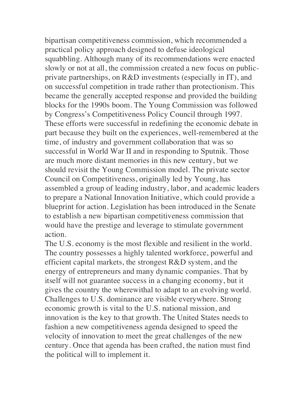bipartisan competitiveness commission, which recommended a practical policy approach designed to defuse ideological squabbling. Although many of its recommendations were enacted slowly or not at all, the commission created a new focus on publicprivate partnerships, on R&D investments (especially in IT), and on successful competition in trade rather than protectionism. This became the generally accepted response and provided the building blocks for the 1990s boom. The Young Commission was followed by Congress's Competitiveness Policy Council through 1997. These efforts were successful in redefining the economic debate in part because they built on the experiences, well-remembered at the time, of industry and government collaboration that was so successful in World War II and in responding to Sputnik. Those are much more distant memories in this new century, but we should revisit the Young Commission model. The private sector Council on Competitiveness, originally led by Young, has assembled a group of leading industry, labor, and academic leaders to prepare a National Innovation Initiative, which could provide a blueprint for action. Legislation has been introduced in the Senate to establish a new bipartisan competitiveness commission that would have the prestige and leverage to stimulate government action.

The U.S. economy is the most flexible and resilient in the world. The country possesses a highly talented workforce, powerful and efficient capital markets, the strongest R&D system, and the energy of entrepreneurs and many dynamic companies. That by itself will not guarantee success in a changing economy, but it gives the country the wherewithal to adapt to an evolving world. Challenges to U.S. dominance are visible everywhere. Strong economic growth is vital to the U.S. national mission, and innovation is the key to that growth. The United States needs to fashion a new competitiveness agenda designed to speed the velocity of innovation to meet the great challenges of the new century. Once that agenda has been crafted, the nation must find the political will to implement it.